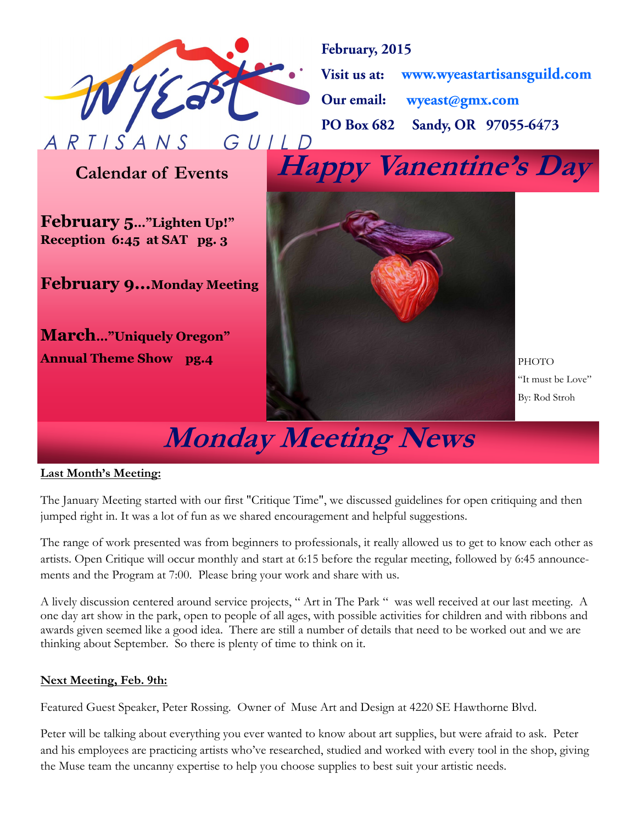

February, 2015 www.wyeastartisansguild.com Visit us at: wyeast@gmx.com Our email: Sandy, OR 97055-6473 **PO Box 682** 

**Calendar of Events**

**February 5…"Lighten Up!" Reception 6:45 at SAT pg. 3**

**February 9...Monday Meeting**

**March…"Uniquely Oregon" Annual Theme Show pg.4**



# **Monday Meeting News**

#### **Last Month's Meeting:**

The January Meeting started with our first "Critique Time", we discussed guidelines for open critiquing and then jumped right in. It was a lot of fun as we shared encouragement and helpful suggestions.

The range of work presented was from beginners to professionals, it really allowed us to get to know each other as artists. Open Critique will occur monthly and start at 6:15 before the regular meeting, followed by 6:45 announcements and the Program at 7:00. Please bring your work and share with us.

A lively discussion centered around service projects, " Art in The Park " was well received at our last meeting. A one day art show in the park, open to people of all ages, with possible activities for children and with ribbons and awards given seemed like a good idea. There are still a number of details that need to be worked out and we are thinking about September. So there is plenty of time to think on it.

#### **Next Meeting, Feb. 9th:**

Featured Guest Speaker, Peter Rossing. Owner of Muse Art and Design at 4220 SE Hawthorne Blvd.

Peter will be talking about everything you ever wanted to know about art supplies, but were afraid to ask. Peter and his employees are practicing artists who've researched, studied and worked with every tool in the shop, giving the Muse team the uncanny expertise to help you choose supplies to best suit your artistic needs.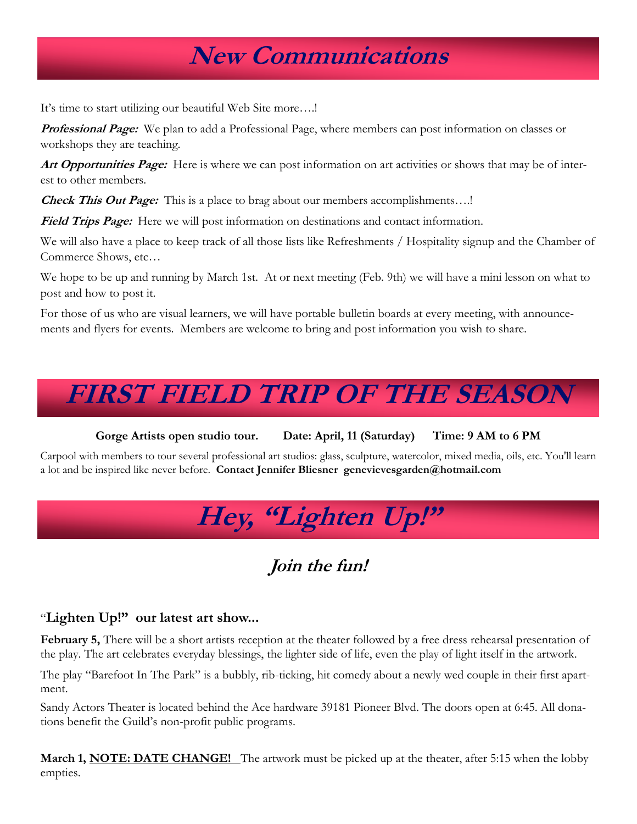### **New Communications**

It's time to start utilizing our beautiful Web Site more….!

**Professional Page:** We plan to add a Professional Page, where members can post information on classes or workshops they are teaching.

**Art Opportunities Page:** Here is where we can post information on art activities or shows that may be of interest to other members.

**Check This Out Page:** This is a place to brag about our members accomplishments...!

**Field Trips Page:** Here we will post information on destinations and contact information.

We will also have a place to keep track of all those lists like Refreshments / Hospitality signup and the Chamber of Commerce Shows, etc…

We hope to be up and running by March 1st. At or next meeting (Feb. 9th) we will have a mini lesson on what to post and how to post it.

For those of us who are visual learners, we will have portable bulletin boards at every meeting, with announcements and flyers for events. Members are welcome to bring and post information you wish to share.

## **FIRST FIELD TRIP OF THE SEASON**

**Gorge Artists open studio tour. Date: April, 11 (Saturday) Time: 9 AM to 6 PM**

Carpool with members to tour several professional art studios: glass, sculpture, watercolor, mixed media, oils, etc. You'll learn a lot and be inspired like never before. **Contact Jennifer Bliesner genevievesgarden@hotmail.com** 

## **Hey, "Lighten Up!"**

### **Join the fun!**

#### "**Lighten Up!" our latest art show...**

**February 5,** There will be a short artists reception at the theater followed by a free dress rehearsal presentation of the play. The art celebrates everyday blessings, the lighter side of life, even the play of light itself in the artwork.

The play "Barefoot In The Park" is a bubbly, rib-ticking, hit comedy about a newly wed couple in their first apartment.

Sandy Actors Theater is located behind the Ace hardware 39181 Pioneer Blvd. The doors open at 6:45. All donations benefit the Guild's non-profit public programs.

**March 1, NOTE: DATE CHANGE!** The artwork must be picked up at the theater, after 5:15 when the lobby empties.